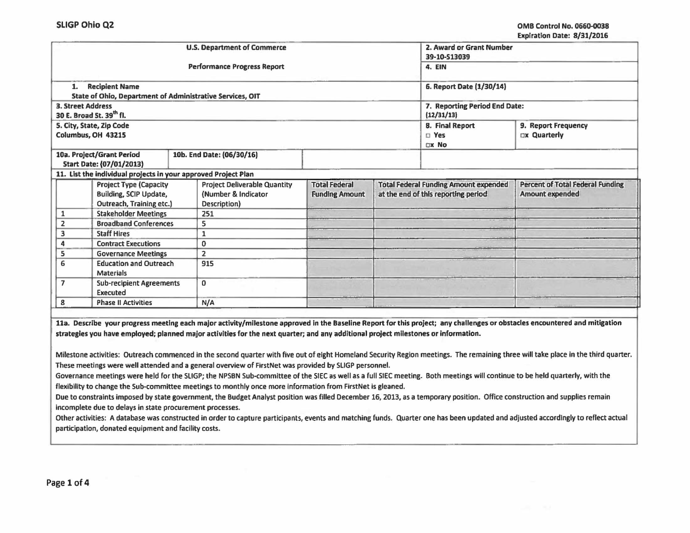|                                                                                    |                                                                                            |  | <b>U.S. Department of Commerce</b>                                                                                                 | 2. Award or Grant Number<br>39-10-S13039      |                                                                                     |                                            |                                                                                                                                                                            |
|------------------------------------------------------------------------------------|--------------------------------------------------------------------------------------------|--|------------------------------------------------------------------------------------------------------------------------------------|-----------------------------------------------|-------------------------------------------------------------------------------------|--------------------------------------------|----------------------------------------------------------------------------------------------------------------------------------------------------------------------------|
|                                                                                    |                                                                                            |  | Performance Progress Report                                                                                                        | 4. EIN                                        |                                                                                     |                                            |                                                                                                                                                                            |
| 1.                                                                                 | <b>Recipient Name</b><br>State of Ohio, Department of Administrative Services, OIT         |  |                                                                                                                                    | 6. Report Date (1/30/14)                      |                                                                                     |                                            |                                                                                                                                                                            |
| <b>3. Street Address</b>                                                           | 30 E. Broad St. 39th fl.                                                                   |  |                                                                                                                                    | 7. Reporting Period End Date:<br>(12/31/13)   |                                                                                     |                                            |                                                                                                                                                                            |
|                                                                                    | 5. City, State, Zip Code<br>Columbus, OH 43215                                             |  |                                                                                                                                    |                                               | <b>8. Final Report</b><br>$\square$ Yes<br>DX No                                    | 9. Report Frequency<br><b>Dx Quarterly</b> |                                                                                                                                                                            |
| 10a. Project/Grant Period<br>10b. End Date: (06/30/16)<br>Start Date: (07/01/2013) |                                                                                            |  |                                                                                                                                    |                                               |                                                                                     |                                            |                                                                                                                                                                            |
|                                                                                    | 11. List the individual projects in your approved Project Plan                             |  |                                                                                                                                    |                                               |                                                                                     |                                            |                                                                                                                                                                            |
|                                                                                    | <b>Project Type (Capacity</b><br><b>Building, SCIP Update,</b><br>Outreach, Training etc.) |  | <b>Project Deliverable Quantity</b><br>(Number & Indicator<br>Description)                                                         | <b>Total Federal</b><br><b>Funding Amount</b> | <b>Total Federal Funding Amount expended</b><br>at the end of this reporting period |                                            | <b>Percent of Total Federal Funding</b><br>Amount expended                                                                                                                 |
| 1                                                                                  | <b>Stakeholder Meetings</b>                                                                |  | 251                                                                                                                                |                                               |                                                                                     |                                            |                                                                                                                                                                            |
| $\overline{2}$                                                                     | <b>Broadband Conferences</b>                                                               |  | 5                                                                                                                                  |                                               |                                                                                     |                                            |                                                                                                                                                                            |
| 3                                                                                  | <b>Staff Hires</b>                                                                         |  | 1                                                                                                                                  |                                               |                                                                                     |                                            |                                                                                                                                                                            |
| 4                                                                                  | <b>Contract Executions</b>                                                                 |  | 0                                                                                                                                  |                                               |                                                                                     |                                            |                                                                                                                                                                            |
| 5                                                                                  | <b>Governance Meetings</b>                                                                 |  | $\overline{2}$                                                                                                                     |                                               |                                                                                     |                                            |                                                                                                                                                                            |
| <b>Education and Outreach</b><br>6<br><b>Materials</b>                             |                                                                                            |  | 915                                                                                                                                |                                               |                                                                                     |                                            |                                                                                                                                                                            |
| 7                                                                                  | <b>Sub-recipient Agreements</b><br>Executed                                                |  | $\mathbf{0}$                                                                                                                       |                                               |                                                                                     |                                            |                                                                                                                                                                            |
| 8<br><b>Phase II Activities</b>                                                    |                                                                                            |  | N/A                                                                                                                                |                                               |                                                                                     |                                            |                                                                                                                                                                            |
|                                                                                    |                                                                                            |  | strategies you have employed; planned major activities for the next quarter; and any additional project milestones or information. |                                               |                                                                                     |                                            | 11a. Describe your progress meeting each major activity/milestone approved in the Baseline Report for this project; any challenges or obstacles encountered and mitigation |

Milestone activities: Outreach commenced in the second quarter with five out of eight Homeland Security Region meetings. The remaining three will take place in the third quarter. These meetings were well attended and a general overview of FirstNet was provided by SLIGP personnel.

Governance meetings were held for the SLIGP; the NPSBN Sub-committee of the SIEC as well as a full SIEC meeting. Both meetings will continue to be held quarterly, with the flexibility to change the Sub-committee meetings to monthly once more information from FirstNet is gleaned.

Due to constraints imposed by state government, the Budget Analyst position was filled December 16, 2013, as a temporary position. Office construction and supplies remain Incomplete due to delays in state procurement processes.

Other activities: A database was constructed in order to capture participants, events and matching funds. Quarter one has been updated and adjusted accordingly to reflect actual participation, donated equipment and facility costs.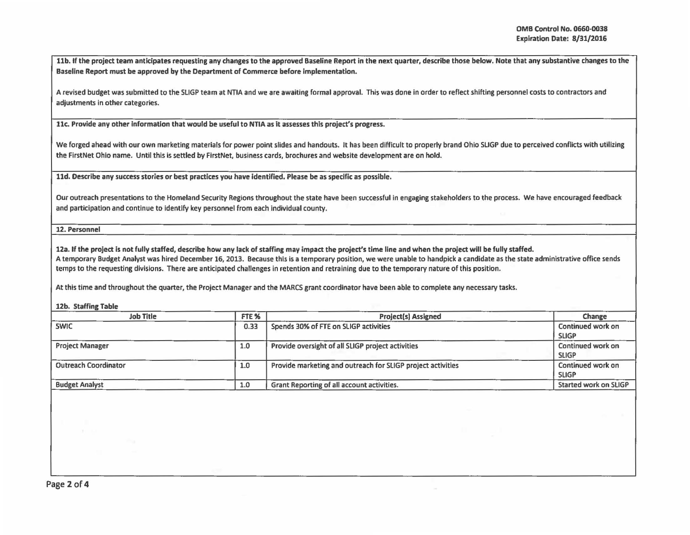llb. If the project team anticipates requesting any changes to the approved Baseline Report in the next quarter, describe those below. Note that any substantive changes to the Baseline Report must be approved by the Department of Commerce before implementation.

A revised budget was submitted to the SLIGP team at NTIA and we are awaiting formal approval. This was done in order to reflect shifting personnel costs to contractors and adjustments in other categories.

llc. Provide any other Information that would be useful to NTIA as it assesses this project's progress.

We forged ahead with our own marketing materials for power point slides and handouts. It has been difficult to properly brand Ohio SLIGP due to perceived conflicts with utilizing the FirstNet Ohio name. Until this is settled by FirstNet, business cards, brochures and website development are on hold.

ltd. Describe any success stories or best practices you have Identified. Please be as specific as possible.

Our outreach presentations to the Homeland Security Regions throughout the state have been successful in engaging stakeholders to the process. We have encouraged feedback and participation and continue to identify key personnel from each individual county.

12. Personnel

12a. If the project is not fully staffed, describe how any lack of staffing may impact the project's time line and when the project will be fully staffed. A temporary Budget Analyst was hired December 16, 2013. Because this is a temporary position, we were unable to handpick a candidate as the state administrative office sends temps to the requesting divisions. There are anticipated challenges in retention and retraining due to the temporary nature of this position.

At this time and throughout the quarter, the Project Manager and the MARCS grant coordinator have been able to complete any necessary tasks.

12b. Staffing Table

| <b>Job Title</b>            | FTE <sub>%</sub> | <b>Project(s) Assigned</b>                                  | Change                            |  |
|-----------------------------|------------------|-------------------------------------------------------------|-----------------------------------|--|
| <b>SWIC</b>                 | 0.33             | Spends 30% of FTE on SLIGP activities                       | Continued work on<br><b>SLIGP</b> |  |
| <b>Project Manager</b>      | 1.0              | Provide oversight of all SLIGP project activities           | Continued work on<br><b>SLIGP</b> |  |
| <b>Outreach Coordinator</b> | 1.0              | Provide marketing and outreach for SLIGP project activities | Continued work on<br><b>SLIGP</b> |  |
| <b>Budget Analyst</b>       | 1.0              | Grant Reporting of all account activities.                  | Started work on SLIGP             |  |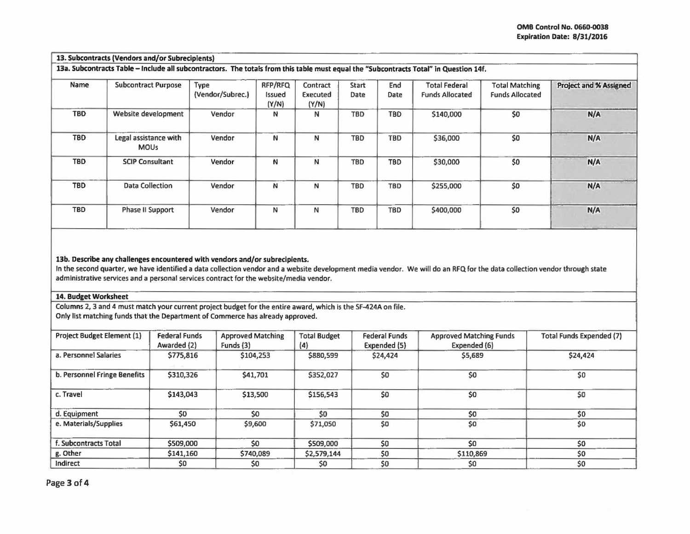## 13. Subcontracts (Vendors and/or Subrecipients)

13a. Subcontracts Table - Include all subcontractors. The totals from this table must equal the "Subcontracts Total" in Question 14f.

| Name       | <b>Subcontract Purpose</b>           | Type<br>(Vendor/Subrec.) | RFP/RFQ<br>Issued<br>(Y/N) | Contract<br>Executed<br>(Y/N) | <b>Start</b><br>Date | End<br>Date | <b>Total Federal</b><br><b>Funds Allocated</b> | <b>Total Matching</b><br><b>Funds Allocated</b> | Project and % Assigned |
|------------|--------------------------------------|--------------------------|----------------------------|-------------------------------|----------------------|-------------|------------------------------------------------|-------------------------------------------------|------------------------|
| <b>TBD</b> | Website development                  | Vendor                   | N                          | N                             | <b>TBD</b>           | TBD         | \$140,000                                      | \$0                                             | N/A                    |
| <b>TBD</b> | Legal assistance with<br><b>MOUs</b> | Vendor                   | N                          | N                             | <b>TBD</b>           | TBD         | \$36,000                                       | \$0                                             | N/A                    |
| <b>TBD</b> | <b>SCIP Consultant</b>               | Vendor                   | N                          | N                             | <b>TBD</b>           | TBD         | \$30,000                                       | \$0                                             | N/A                    |
| <b>TBD</b> | <b>Data Collection</b>               | Vendor                   | N                          | N                             | <b>TBD</b>           | <b>TBD</b>  | \$255,000                                      | \$0                                             | N/A                    |
| TBD        | Phase II Support                     | Vendor                   | N                          | N                             | <b>TBD</b>           | <b>TBD</b>  | \$400,000                                      | \$0                                             | N/A                    |

## 13b. Describe any challenges encountered with vendors and/or subrecipients.

In the second quarter, we have identified a data collection vendor and a website development media vendor. We will do an RFQ for the data collection vendor through state administrative services and a personal services contract for the website/media vendor.

## 14. Budget Worksheet

Columns 2, 3 and 4 must match your current project budget for the entire award, which Is the SF-424A on file. Only list matching funds that the Department of Commerce has already approved.

| <b>Project Budget Element (1)</b> | <b>Federal Funds</b><br>Awarded (2) | <b>Approved Matching</b><br>Funds (3) | <b>Total Budget</b><br>(4) | <b>Federal Funds</b><br>Expended (5) | <b>Approved Matching Funds</b><br>Expended (6) | <b>Total Funds Expended (7)</b> |
|-----------------------------------|-------------------------------------|---------------------------------------|----------------------------|--------------------------------------|------------------------------------------------|---------------------------------|
| a. Personnel Salaries             | \$775,816                           | \$104,253                             | \$880,599                  | \$24,424                             | \$5,689                                        | \$24,424                        |
| b. Personnel Fringe Benefits      | \$310,326                           | \$41,701                              | \$352,027                  | \$0                                  | \$0                                            | \$0                             |
| c. Travel                         | \$143,043                           | \$13,500                              | \$156,543                  | \$0                                  | \$0                                            | \$0                             |
| d. Equipment                      | \$0                                 | \$0                                   | 50                         | \$0                                  | \$0                                            | \$0                             |
| e. Materials/Supplies             | \$61,450                            | \$9,600                               | \$71,050                   | \$0                                  | \$0                                            | \$0                             |
| f. Subcontracts Total             | \$509,000                           | \$0                                   | \$509,000                  | \$0                                  | \$0                                            | \$0                             |
| g. Other                          | \$141,160                           | \$740,089                             | \$2,579,144                | \$0                                  | \$110,869                                      | \$0                             |
| Indirect                          | \$0                                 | \$0                                   | \$0                        | \$0                                  | \$0                                            | \$0                             |